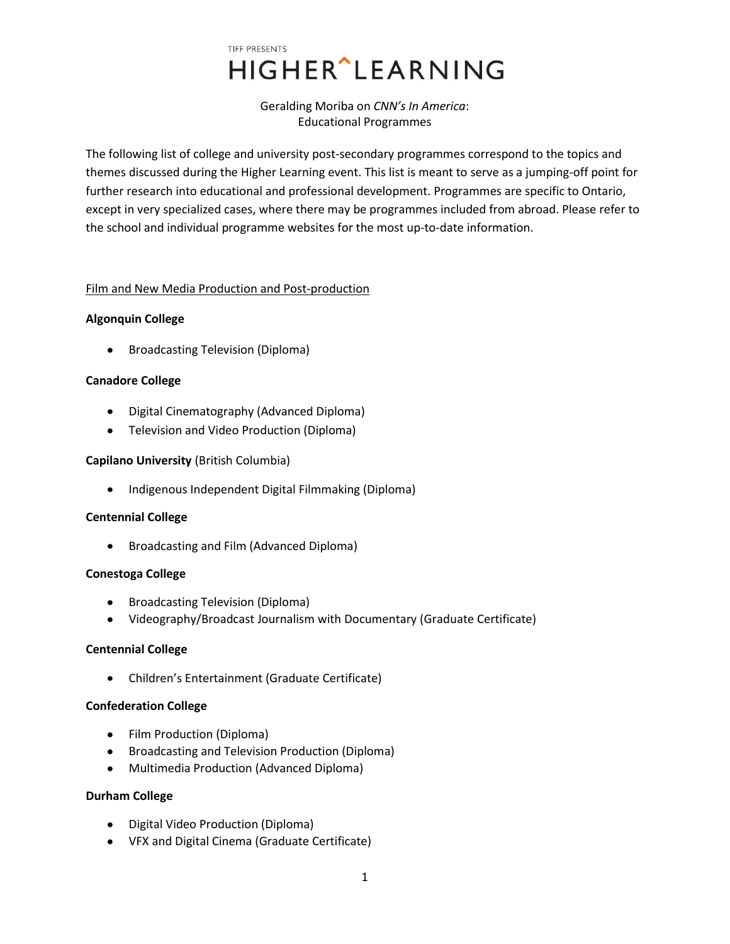# TIFF PRESENTS **HIGHER** LEARNING

## Geralding Moriba on *CNN's In America*: Educational Programmes

The following list of college and university post-secondary programmes correspond to the topics and themes discussed during the Higher Learning event. This list is meant to serve as a jumping-off point for further research into educational and professional development. Programmes are specific to Ontario, except in very specialized cases, where there may be programmes included from abroad. Please refer to the school and individual programme websites for the most up-to-date information.

## Film and New Media Production and Post-production

## **Algonquin College**

Broadcasting Television (Diploma)  $\bullet$ 

## **Canadore College**

- Digital Cinematography (Advanced Diploma)
- Television and Video Production (Diploma)

## **Capilano University** (British Columbia)

• Indigenous Independent Digital Filmmaking (Diploma)

## **Centennial College**

• Broadcasting and Film (Advanced Diploma)

## **Conestoga College**

- Broadcasting Television (Diploma)
- Videography/Broadcast Journalism with Documentary (Graduate Certificate)

## **Centennial College**

Children's Entertainment (Graduate Certificate)

## **Confederation College**

- Film Production (Diploma)
- **•** Broadcasting and Television Production (Diploma)
- Multimedia Production (Advanced Diploma)

## **Durham College**

- Digital Video Production (Diploma)
- VFX and Digital Cinema (Graduate Certificate)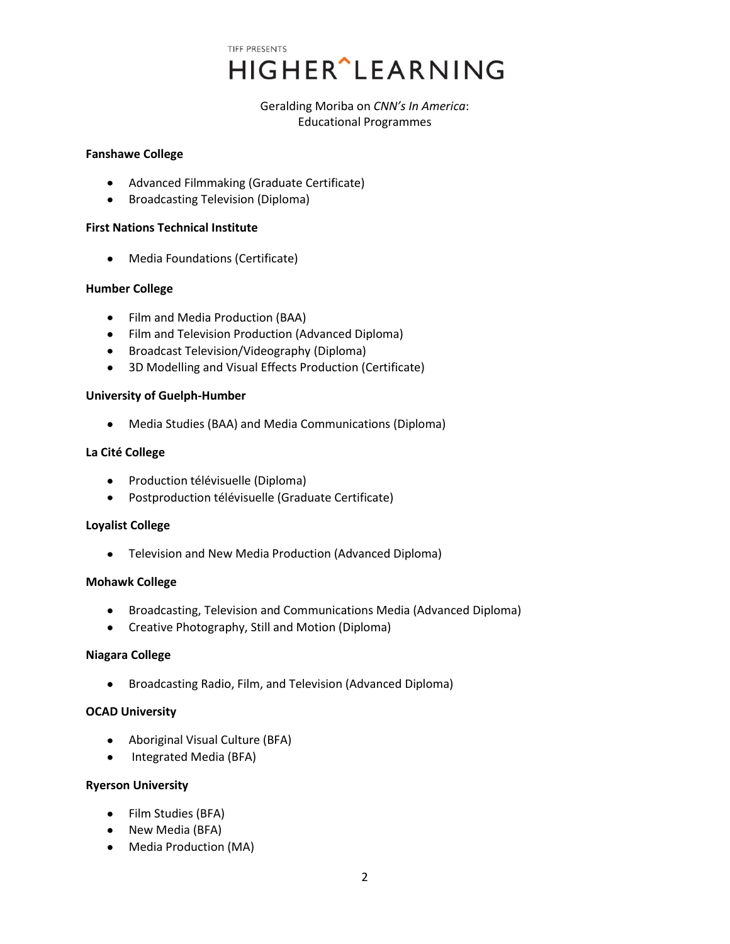TIFF PRESENTS **HIGHER** LEARNING

> Geralding Moriba on *CNN's In America*: Educational Programmes

#### **Fanshawe College**

- Advanced Filmmaking (Graduate Certificate)
- Broadcasting Television (Diploma)

#### **First Nations Technical Institute**

Media Foundations (Certificate)  $\bullet$ 

## **Humber College**

- Film and Media Production (BAA)
- Film and Television Production (Advanced Diploma)
- Broadcast Television/Videography (Diploma)
- 3D Modelling and Visual Effects Production (Certificate)

#### **University of Guelph-Humber**

Media Studies (BAA) and Media Communications (Diploma)

#### **La Cité College**

- Production télévisuelle (Diploma)
- Postproduction télévisuelle (Graduate Certificate)

## **Loyalist College**

Television and New Media Production (Advanced Diploma)

#### **Mohawk College**

- Broadcasting, Television and Communications Media (Advanced Diploma)
- Creative Photography, Still and Motion (Diploma)

## **Niagara College**

Broadcasting Radio, Film, and Television (Advanced Diploma)

## **OCAD University**

- Aboriginal Visual Culture (BFA)
- Integrated Media (BFA)  $\bullet$

#### **Ryerson University**

- Film Studies (BFA)
- New Media (BFA)
- Media Production (MA)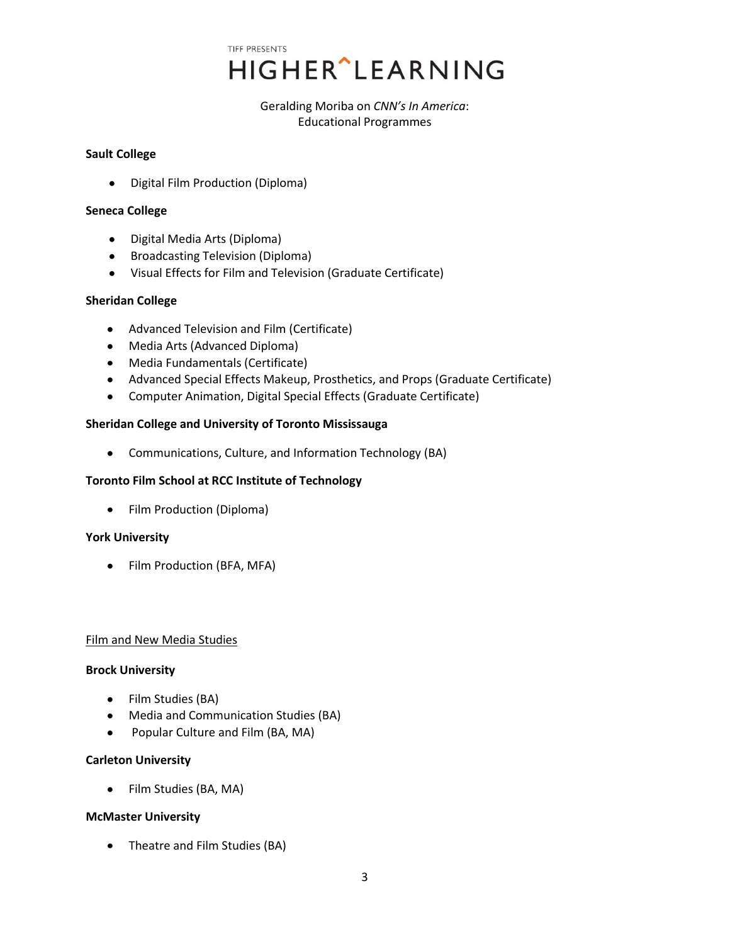TIFF PRESENTS **HIGHER** LEARNING

> Geralding Moriba on *CNN's In America*: Educational Programmes

#### **Sault College**

• Digital Film Production (Diploma)

#### **Seneca College**

- Digital Media Arts (Diploma)
- **•** Broadcasting Television (Diploma)
- Visual Effects for Film and Television (Graduate Certificate)

#### **Sheridan College**

- Advanced Television and Film (Certificate)
- Media Arts (Advanced Diploma)
- Media Fundamentals (Certificate)
- Advanced Special Effects Makeup, Prosthetics, and Props (Graduate Certificate)
- Computer Animation, Digital Special Effects (Graduate Certificate)

## **Sheridan College and University of Toronto Mississauga**

Communications, Culture, and Information Technology (BA)

## **Toronto Film School at RCC Institute of Technology**

• Film Production (Diploma)

## **York University**

• Film Production (BFA, MFA)

#### Film and New Media Studies

#### **Brock University**

- Film Studies (BA)
- Media and Communication Studies (BA)
- Popular Culture and Film (BA, MA)  $\bullet$

## **Carleton University**

Film Studies (BA, MA)

## **McMaster University**

• Theatre and Film Studies (BA)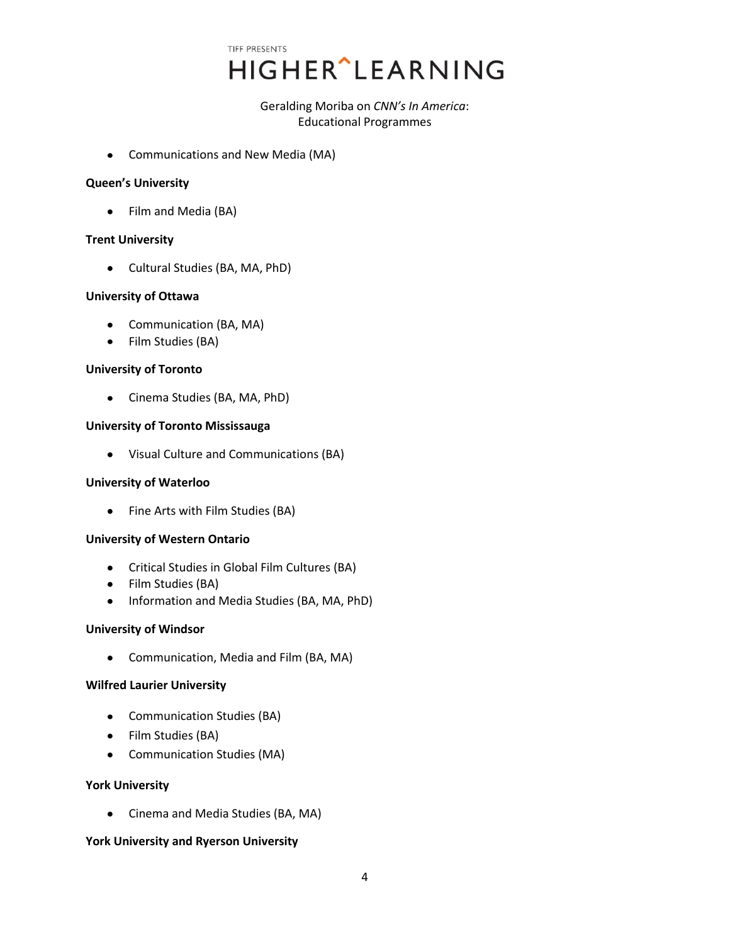TIFF PRESENTS HIGHER^LEARNING

## Geralding Moriba on *CNN's In America*: Educational Programmes

Communications and New Media (MA)

#### **Queen's University**

• Film and Media (BA)

## **Trent University**

Cultural Studies (BA, MA, PhD)

#### **University of Ottawa**

- Communication (BA, MA)
- Film Studies (BA)

#### **University of Toronto**

• Cinema Studies (BA, MA, PhD)

## **University of Toronto Mississauga**

Visual Culture and Communications (BA)

## **University of Waterloo**

Fine Arts with Film Studies (BA)

# **University of Western Ontario**

- Critical Studies in Global Film Cultures (BA)
- Film Studies (BA)
- Information and Media Studies (BA, MA, PhD)

#### **University of Windsor**

Communication, Media and Film (BA, MA)

## **Wilfred Laurier University**

- Communication Studies (BA)
- Film Studies (BA)
- Communication Studies (MA)

## **York University**

Cinema and Media Studies (BA, MA)

## **York University and Ryerson University**